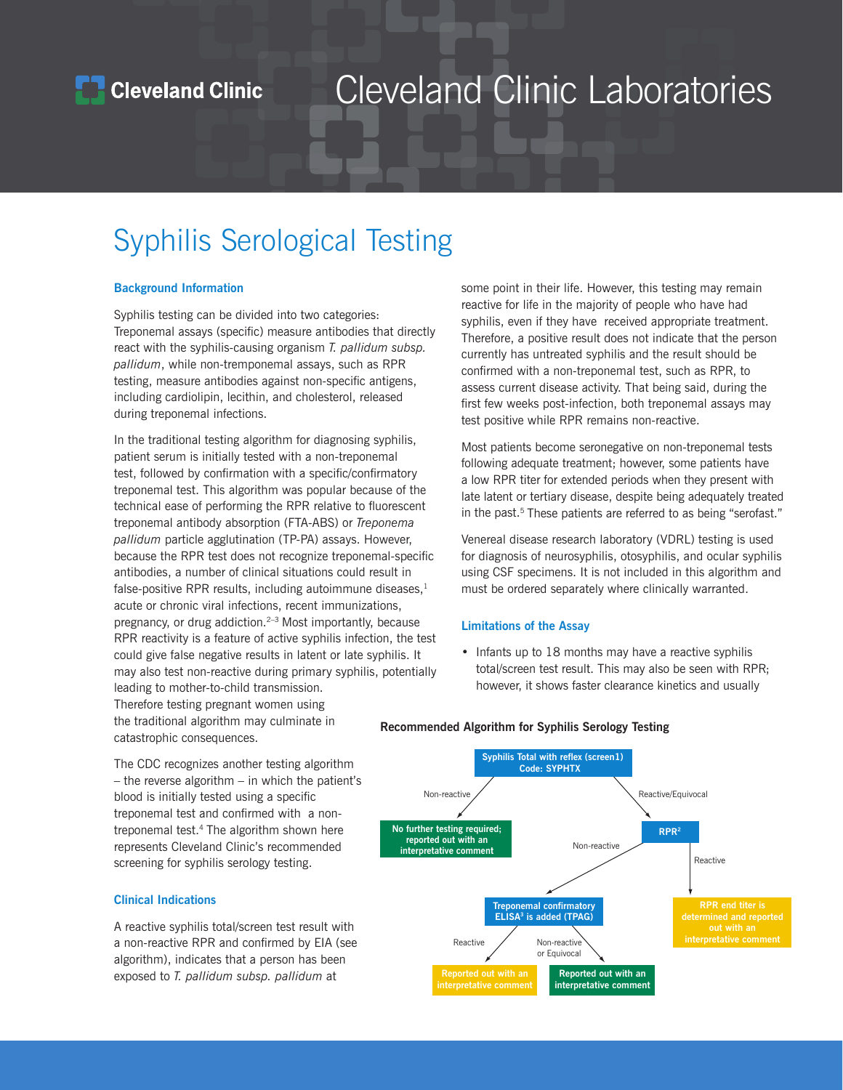

## Cleveland Clinic Laboratories

### Syphilis Serological Testing

### **Background Information**

Syphilis testing can be divided into two categories: Treponemal assays (specific) measure antibodies that directly react with the syphilis-causing organism *T. pallidum subsp. pallidum*, while non-tremponemal assays, such as RPR testing, measure antibodies against non-specific antigens, including cardiolipin, lecithin, and cholesterol, released during treponemal infections.

In the traditional testing algorithm for diagnosing syphilis, patient serum is initially tested with a non-treponemal test, followed by confirmation with a specific/confirmatory treponemal test. This algorithm was popular because of the technical ease of performing the RPR relative to fluorescent treponemal antibody absorption (FTA-ABS) or *Treponema pallidum* particle agglutination (TP-PA) assays. However, because the RPR test does not recognize treponemal-specific antibodies, a number of clinical situations could result in false-positive RPR results, including autoimmune diseases, $<sup>1</sup>$ </sup> acute or chronic viral infections, recent immunizations, pregnancy, or drug addiction.<sup>2–3</sup> Most importantly, because RPR reactivity is a feature of active syphilis infection, the test could give false negative results in latent or late syphilis. It may also test non-reactive during primary syphilis, potentially leading to mother-to-child transmission. Therefore testing pregnant women using the traditional algorithm may culminate in

some point in their life. However, this testing may remain reactive for life in the majority of people who have had syphilis, even if they have received appropriate treatment. Therefore, a positive result does not indicate that the person currently has untreated syphilis and the result should be confirmed with a non-treponemal test, such as RPR, to assess current disease activity. That being said, during the first few weeks post-infection, both treponemal assays may test positive while RPR remains non-reactive.

Most patients become seronegative on non-treponemal tests following adequate treatment; however, some patients have a low RPR titer for extended periods when they present with late latent or tertiary disease, despite being adequately treated in the past.<sup>5</sup> These patients are referred to as being "serofast."

Venereal disease research laboratory (VDRL) testing is used for diagnosis of neurosyphilis, otosyphilis, and ocular syphilis using CSF specimens. It is not included in this algorithm and must be ordered separately where clinically warranted.

### **Limitations of the Assay**

• Infants up to 18 months may have a reactive syphilis total/screen test result. This may also be seen with RPR; however, it shows faster clearance kinetics and usually

Non-reactive Non-reactive or Equivocal **Syphilis Total with reflex (screen1) Code: SYPHTX No further testing required; reported out with an interpretative comme Treponemal confirmatory ELISA3 is added (TPAG) Reported out with an interpretative comment Reported out with an interpretative comment RPR end titer is determined and reported out with an interpretative comment** Reactive Reactive Non-reactive / Reactive/Equivocal **RPR2**

**Recommended Algorithm for Syphilis Serology Testing**

### **Clinical Indications**

catastrophic consequences.

A reactive syphilis total/screen test result with a non-reactive RPR and confirmed by EIA (see algorithm), indicates that a person has been exposed to *T. pallidum subsp. pallidum* at

The CDC recognizes another testing algorithm  $-$  the reverse algorithm  $-$  in which the patient's blood is initially tested using a specific treponemal test and confirmed with a nontreponemal test.<sup>4</sup> The algorithm shown here represents Cleveland Clinic's recommended screening for syphilis serology testing.